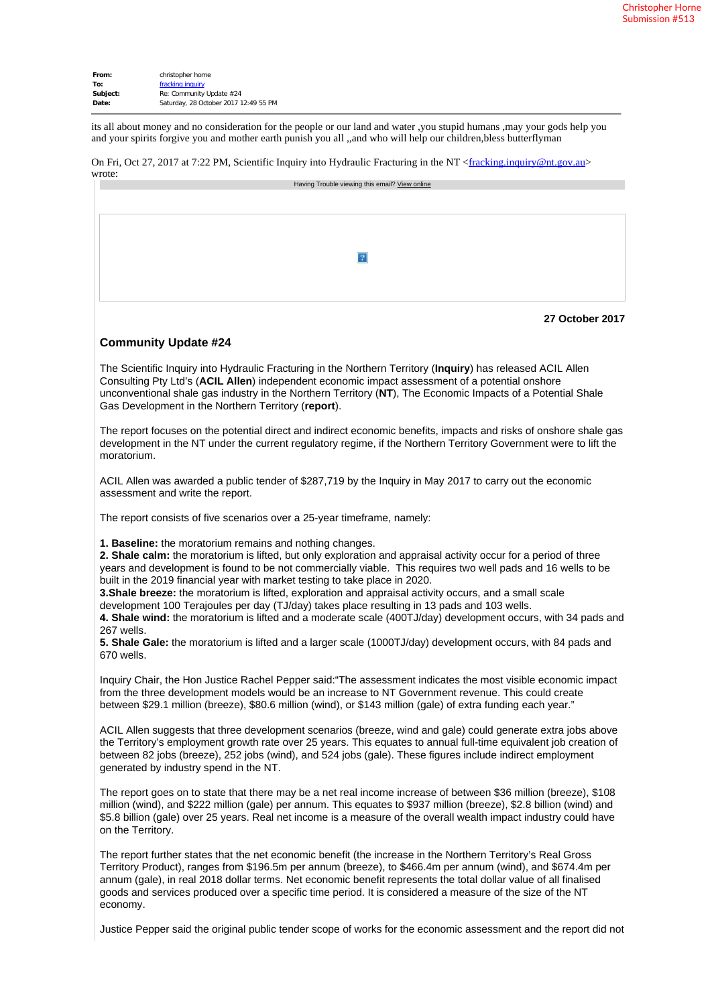| christopher horne                     |
|---------------------------------------|
| fracking inquiry                      |
| Re: Community Update #24              |
| Saturday, 28 October 2017 12:49 55 PM |
|                                       |

its all about money and no consideration for the people or our land and water ,you stupid humans ,may your gods help you and your spirits forgive you and mother earth punish you all ,,and who will help our children,bless butterflyman

On Fri, Oct 27, 2017 at 7:22 PM, Scientific Inquiry into Hydraulic Fracturing in the NT <fracking.inquiry@nt.gov.au>

| wrote: |                                                |
|--------|------------------------------------------------|
|        | Having Trouble viewing this email? View online |
|        |                                                |
|        |                                                |
|        |                                                |
|        |                                                |
|        |                                                |
|        |                                                |
|        |                                                |
|        |                                                |
|        |                                                |
|        |                                                |
|        |                                                |
|        |                                                |



## **Community Update #24**

The Scientific Inquiry into Hydraulic Fracturing in the Northern Territory (**Inquiry**) has released ACIL Allen Consulting Pty Ltd's (**ACIL Allen**) independent economic impact assessment of a potential onshore unconventional shale gas industry in the Northern Territory (**NT**), The Economic Impacts of a Potential Shale Gas Development in the Northern Territory (**report**).

The report focuses on the potential direct and indirect economic benefits, impacts and risks of onshore shale gas development in the NT under the current regulatory regime, if the Northern Territory Government were to lift the moratorium.

ACIL Allen was awarded a public tender of \$287,719 by the Inquiry in May 2017 to carry out the economic assessment and write the report.

The report consists of five scenarios over a 25-year timeframe, namely:

**1. Baseline:** the moratorium remains and nothing changes.

**2. Shale calm:** the moratorium is lifted, but only exploration and appraisal activity occur for a period of three years and development is found to be not commercially viable. This requires two well pads and 16 wells to be built in the 2019 financial year with market testing to take place in 2020.

**3.Shale breeze:** the moratorium is lifted, exploration and appraisal activity occurs, and a small scale development 100 Terajoules per day (TJ/day) takes place resulting in 13 pads and 103 wells.

**4. Shale wind:** the moratorium is lifted and a moderate scale (400TJ/day) development occurs, with 34 pads and 267 wells.

**5. Shale Gale:** the moratorium is lifted and a larger scale (1000TJ/day) development occurs, with 84 pads and 670 wells.

Inquiry Chair, the Hon Justice Rachel Pepper said:"The assessment indicates the most visible economic impact from the three development models would be an increase to NT Government revenue. This could create between \$29.1 million (breeze), \$80.6 million (wind), or \$143 million (gale) of extra funding each year."

ACIL Allen suggests that three development scenarios (breeze, wind and gale) could generate extra jobs above the Territory's employment growth rate over 25 years. This equates to annual full-time equivalent job creation of between 82 jobs (breeze), 252 jobs (wind), and 524 jobs (gale). These figures include indirect employment generated by industry spend in the NT.

The report goes on to state that there may be a net real income increase of between \$36 million (breeze), \$108 million (wind), and \$222 million (gale) per annum. This equates to \$937 million (breeze), \$2.8 billion (wind) and \$5.8 billion (gale) over 25 years. Real net income is a measure of the overall wealth impact industry could have on the Territory.

The report further states that the net economic benefit (the increase in the Northern Territory's Real Gross Territory Product), ranges from \$196.5m per annum (breeze), to \$466.4m per annum (wind), and \$674.4m per annum (gale), in real 2018 dollar terms. Net economic benefit represents the total dollar value of all finalised goods and services produced over a specific time period. It is considered a measure of the size of the NT economy.

Justice Pepper said the original public tender scope of works for the economic assessment and the report did not